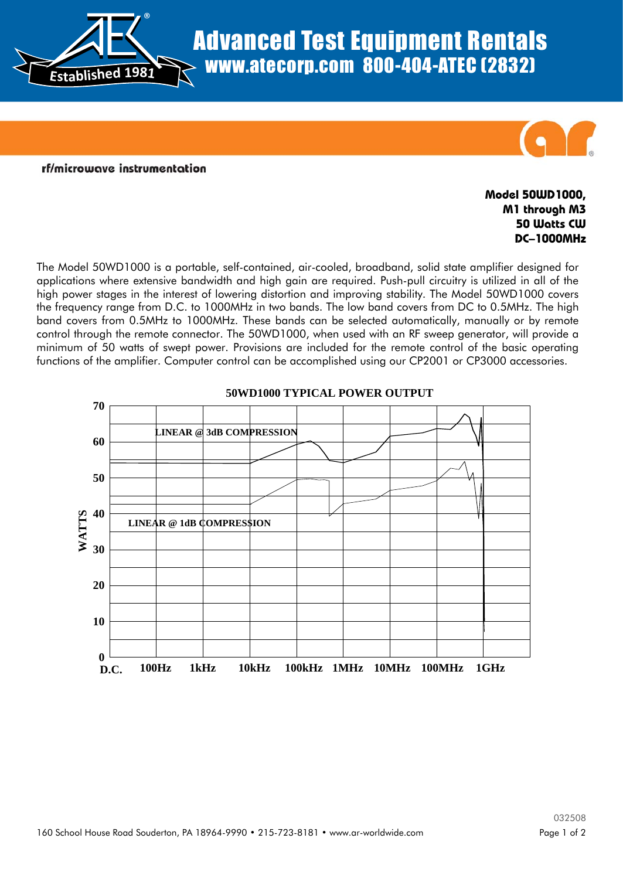

## Advanced Test Equipment Rentals www.atecorp.com 800-404-ATEC (2832)



rf/microwave instrumentation

## **Model 50WD1000, M1 through M3 50 Watts CW DC–1000MHz**

The Model 50WD1000 is a portable, self-contained, air-cooled, broadband, solid state amplifier designed for applications where extensive bandwidth and high gain are required. Push-pull circuitry is utilized in all of the high power stages in the interest of lowering distortion and improving stability. The Model 50WD1000 covers the frequency range from D.C. to 1000MHz in two bands. The low band covers from DC to 0.5MHz. The high band covers from 0.5MHz to 1000MHz. These bands can be selected automatically, manually or by remote control through the remote connector. The 50WD1000, when used with an RF sweep generator, will provide a minimum of 50 watts of swept power. Provisions are included for the remote control of the basic operating functions of the amplifier. Computer control can be accomplished using our CP2001 or CP3000 accessories.



## **50WD1000 TYPICAL POWER OUTPUT**